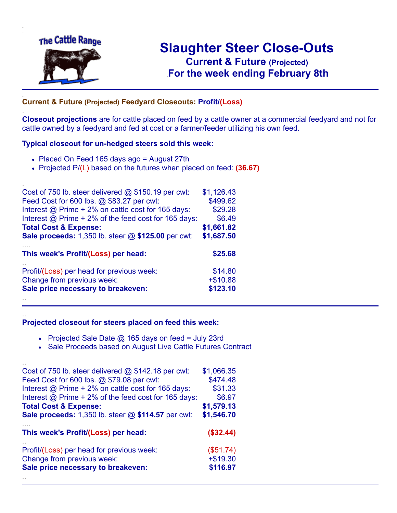

.

..

..

# **Slaughter Steer Close-Outs Current & Future (Projected)** .**For the week ending February 8th**

## ... **Current & Future (Projected) Feedyard Closeouts: Profit/(Loss)**

**Closeout projections** are for cattle placed on feed by a cattle owner at a commercial feedyard and not for cattle owned by a feedyard and fed at cost or a farmer/feeder utilizing his own feed.

### **Typical closeout for un-hedged steers sold this week:**

- Placed On Feed 165 days ago = August 27th
- Projected P/(L) based on the futures when placed on feed: **(36.67)**

| Cost of 750 lb. steer delivered @ \$150.19 per cwt:       | \$1,126.43 |
|-----------------------------------------------------------|------------|
| Feed Cost for 600 lbs. @ \$83.27 per cwt:                 | \$499.62   |
| Interest @ Prime + 2% on cattle cost for 165 days:        | \$29.28    |
| Interest @ Prime + 2% of the feed cost for 165 days:      | \$6.49     |
| <b>Total Cost &amp; Expense:</b>                          | \$1,661.82 |
| <b>Sale proceeds:</b> 1,350 lb. steer @ \$125.00 per cwt: | \$1,687.50 |
| This week's Profit/(Loss) per head:                       | \$25.68    |
| Profit/(Loss) per head for previous week:                 | \$14.80    |
| Change from previous week:                                | $+ $10.88$ |
|                                                           |            |
| Sale price necessary to breakeven:                        | \$123.10   |

### **Projected closeout for steers placed on feed this week:**

- Projected Sale Date @ 165 days on feed = July 23rd
- Sale Proceeds based on August Live Cattle Futures Contract

| Cost of 750 lb. steer delivered $@$ \$142.18 per cwt:       | \$1,066.35 |
|-------------------------------------------------------------|------------|
| Feed Cost for 600 lbs. @ \$79.08 per cwt:                   | \$474.48   |
| Interest @ Prime + 2% on cattle cost for 165 days:          | \$31.33    |
| Interest $\omega$ Prime + 2% of the feed cost for 165 days: | \$6.97     |
| <b>Total Cost &amp; Expense:</b>                            | \$1,579.13 |
| <b>Sale proceeds:</b> 1,350 lb. steer @ \$114.57 per cwt:   | \$1,546.70 |
| This week's Profit/(Loss) per head:                         | (\$32.44)  |
| Profit/(Loss) per head for previous week:                   | (\$51.74)  |
| Change from previous week:                                  | $+ $19.30$ |
| Sale price necessary to breakeven:                          | \$116.97   |